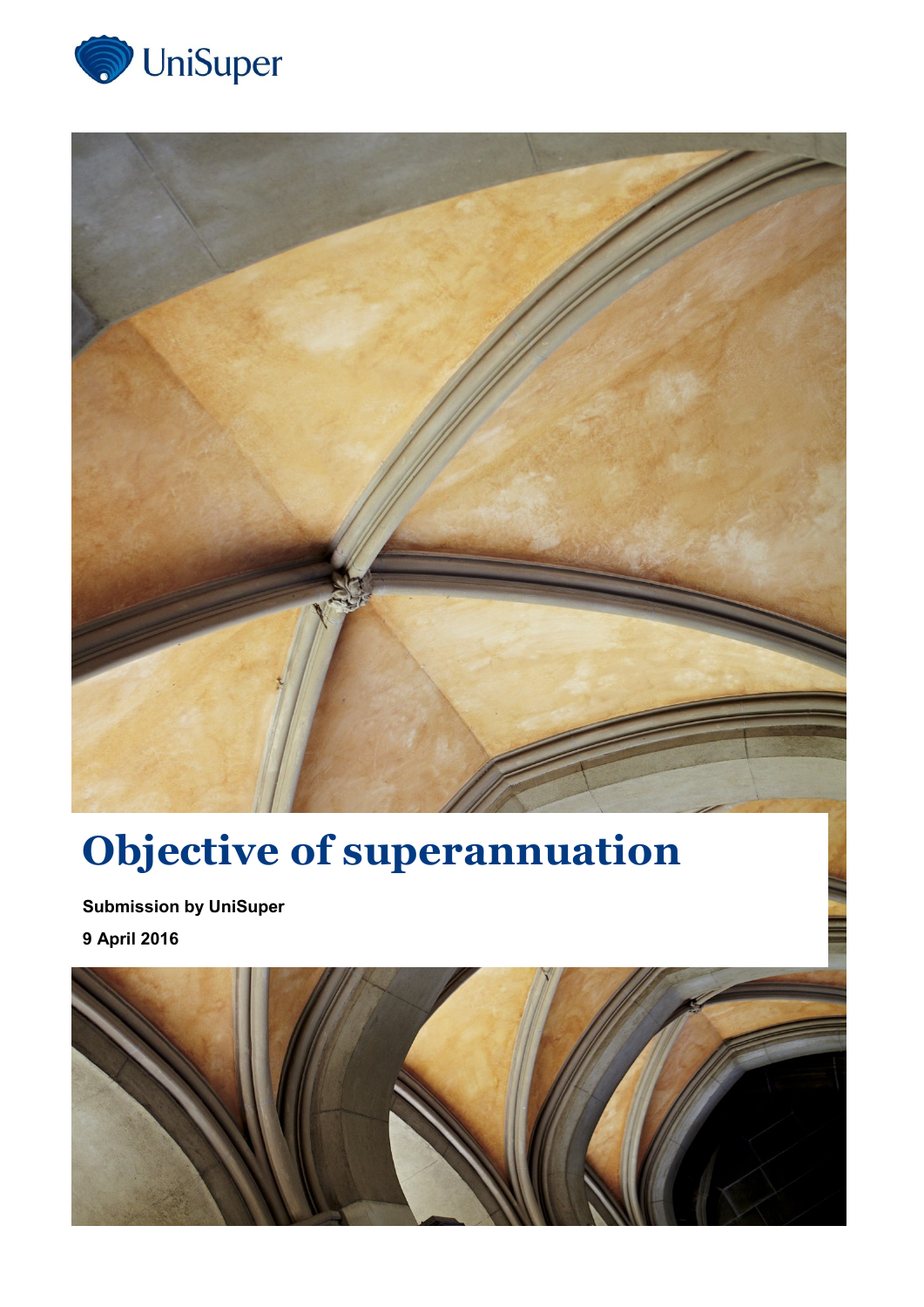



# **Objective of superannuation**

**Submission by UniSuper 9 April 2016**

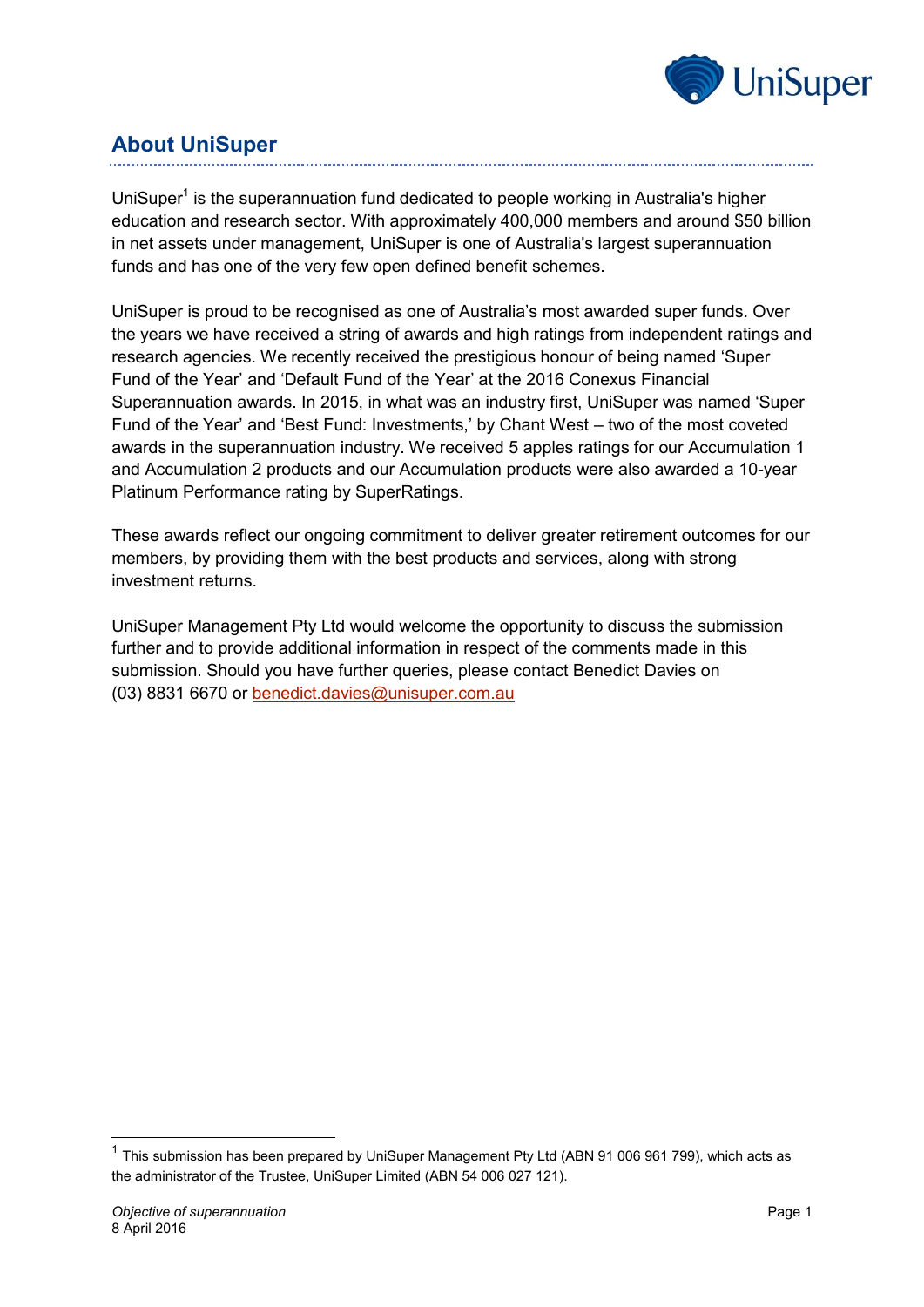

# **About UniSuper**

UniSuper<sup>1</sup> is the superannuation fund dedicated to people working in Australia's higher education and research sector. With approximately 400,000 members and around \$50 billion in net assets under management, UniSuper is one of Australia's largest superannuation funds and has one of the very few open defined benefit schemes.

UniSuper is proud to be recognised as one of Australia's most awarded super funds. Over the years we have received a string of awards and high ratings from independent ratings and research agencies. We recently received the prestigious honour of being named 'Super Fund of the Year' and 'Default Fund of the Year' at the 2016 Conexus Financial Superannuation awards. In 2015, in what was an industry first, UniSuper was named 'Super Fund of the Year' and 'Best Fund: Investments,' by Chant West – two of the most coveted awards in the superannuation industry. We received 5 apples ratings for our Accumulation 1 and Accumulation 2 products and our Accumulation products were also awarded a 10-year Platinum Performance rating by SuperRatings.

These awards reflect our ongoing commitment to deliver greater retirement outcomes for our members, by providing them with the best products and services, along with strong investment returns.

UniSuper Management Pty Ltd would welcome the opportunity to discuss the submission further and to provide additional information in respect of the comments made in this submission. Should you have further queries, please contact Benedict Davies on (03) 8831 6670 or [benedict.davies@unisuper.com.au](mailto:benedict.davies@unisuper.com.au)

-

 $1$  This submission has been prepared by UniSuper Management Pty Ltd (ABN 91 006 961 799), which acts as the administrator of the Trustee, UniSuper Limited (ABN 54 006 027 121).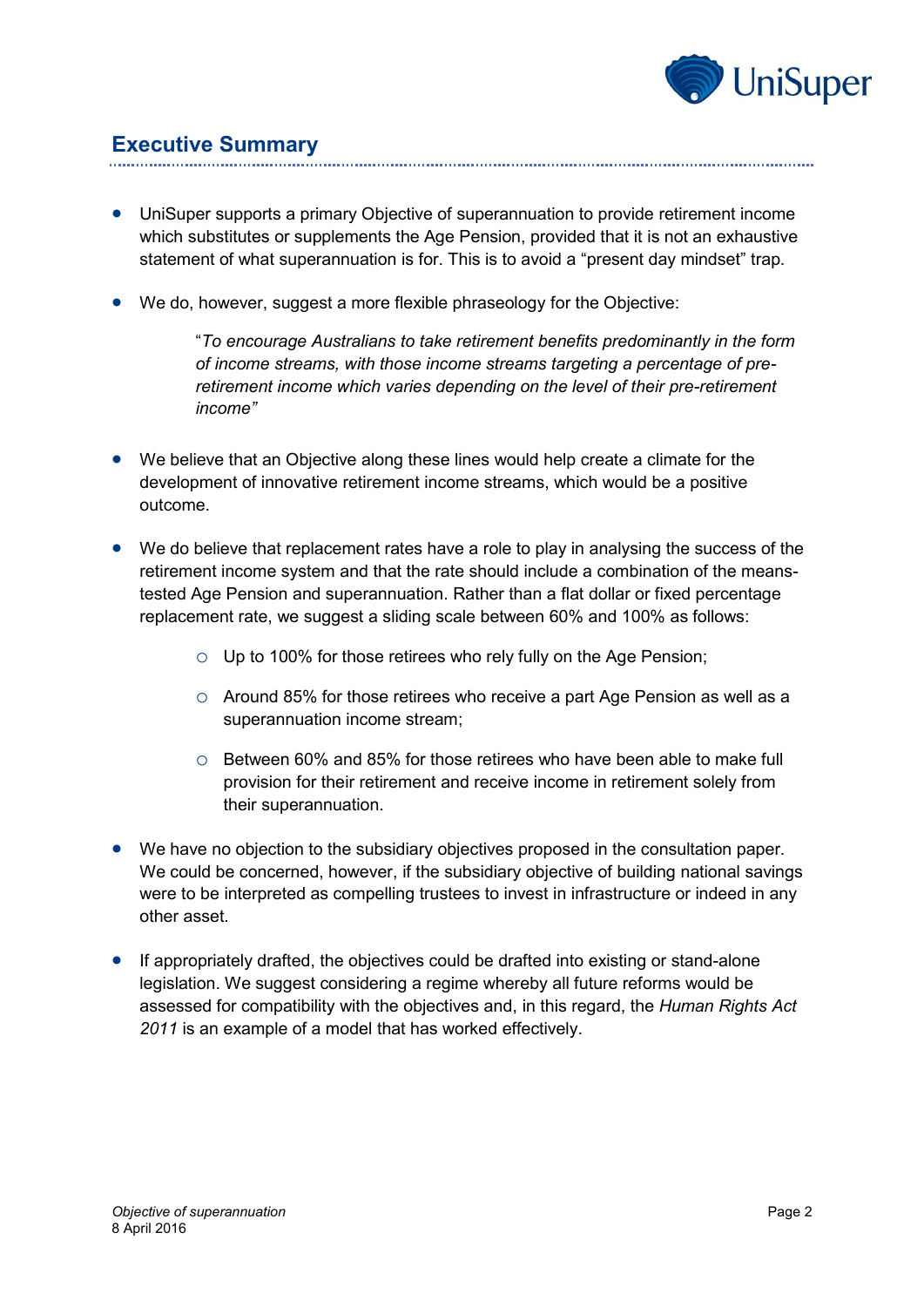

## **Executive Summary**

- UniSuper supports a primary Objective of superannuation to provide retirement income which substitutes or supplements the Age Pension, provided that it is not an exhaustive statement of what superannuation is for. This is to avoid a "present day mindset" trap.
- We do, however, suggest a more flexible phraseology for the Objective:

"*To encourage Australians to take retirement benefits predominantly in the form of income streams, with those income streams targeting a percentage of preretirement income which varies depending on the level of their pre-retirement income"*

- We believe that an Objective along these lines would help create a climate for the development of innovative retirement income streams, which would be a positive outcome.
- We do believe that replacement rates have a role to play in analysing the success of the retirement income system and that the rate should include a combination of the meanstested Age Pension and superannuation. Rather than a flat dollar or fixed percentage replacement rate, we suggest a sliding scale between 60% and 100% as follows:
	- $\circ$  Up to 100% for those retirees who rely fully on the Age Pension;
	- o Around 85% for those retirees who receive a part Age Pension as well as a superannuation income stream;
	- $\circ$  Between 60% and 85% for those retirees who have been able to make full provision for their retirement and receive income in retirement solely from their superannuation.
- We have no objection to the subsidiary objectives proposed in the consultation paper. We could be concerned, however, if the subsidiary objective of building national savings were to be interpreted as compelling trustees to invest in infrastructure or indeed in any other asset.
- If appropriately drafted, the objectives could be drafted into existing or stand-alone legislation. We suggest considering a regime whereby all future reforms would be assessed for compatibility with the objectives and, in this regard, the *Human Rights Act 2011* is an example of a model that has worked effectively.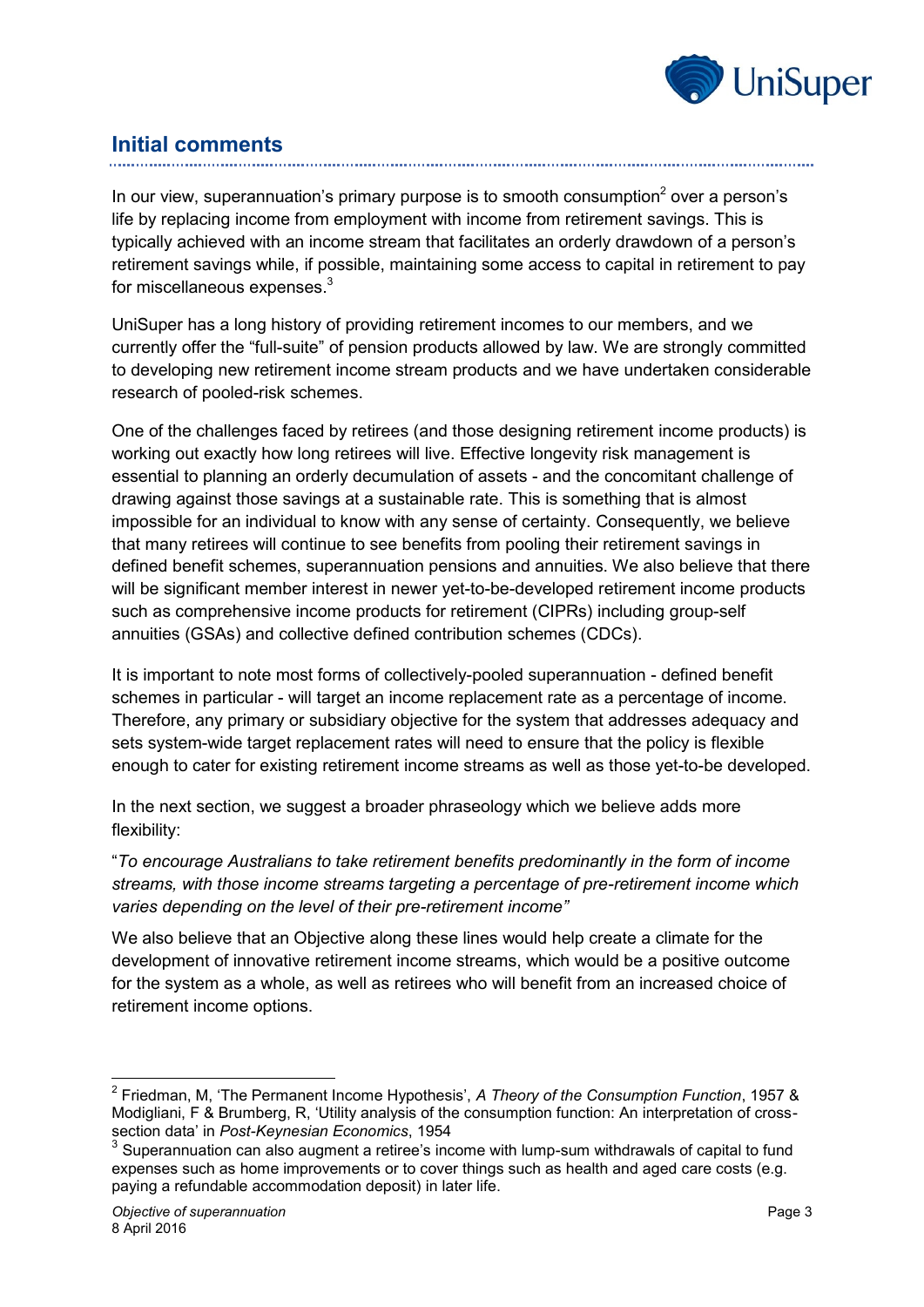

## **Initial comments**

In our view, superannuation's primary purpose is to smooth consumption $2$  over a person's life by replacing income from employment with income from retirement savings. This is typically achieved with an income stream that facilitates an orderly drawdown of a person's retirement savings while, if possible, maintaining some access to capital in retirement to pay for miscellaneous expenses.<sup>3</sup>

UniSuper has a long history of providing retirement incomes to our members, and we currently offer the "full-suite" of pension products allowed by law. We are strongly committed to developing new retirement income stream products and we have undertaken considerable research of pooled-risk schemes.

One of the challenges faced by retirees (and those designing retirement income products) is working out exactly how long retirees will live. Effective longevity risk management is essential to planning an orderly decumulation of assets - and the concomitant challenge of drawing against those savings at a sustainable rate. This is something that is almost impossible for an individual to know with any sense of certainty. Consequently, we believe that many retirees will continue to see benefits from pooling their retirement savings in defined benefit schemes, superannuation pensions and annuities. We also believe that there will be significant member interest in newer yet-to-be-developed retirement income products such as comprehensive income products for retirement (CIPRs) including group-self annuities (GSAs) and collective defined contribution schemes (CDCs).

It is important to note most forms of collectively-pooled superannuation - defined benefit schemes in particular - will target an income replacement rate as a percentage of income. Therefore, any primary or subsidiary objective for the system that addresses adequacy and sets system-wide target replacement rates will need to ensure that the policy is flexible enough to cater for existing retirement income streams as well as those yet-to-be developed.

In the next section, we suggest a broader phraseology which we believe adds more flexibility:

"*To encourage Australians to take retirement benefits predominantly in the form of income streams, with those income streams targeting a percentage of pre-retirement income which varies depending on the level of their pre-retirement income"*

We also believe that an Objective along these lines would help create a climate for the development of innovative retirement income streams, which would be a positive outcome for the system as a whole, as well as retirees who will benefit from an increased choice of retirement income options.

 $\overline{a}$ 

<sup>2</sup> Friedman, M, 'The Permanent Income Hypothesis', *A Theory of the Consumption Function*, 1957 & Modigliani, F & Brumberg, R, 'Utility analysis of the consumption function: An interpretation of crosssection data' in *Post-Keynesian Economics*, 1954

<sup>&</sup>lt;sup>3</sup> Superannuation can also augment a retiree's income with lump-sum withdrawals of capital to fund expenses such as home improvements or to cover things such as health and aged care costs (e.g. paying a refundable accommodation deposit) in later life.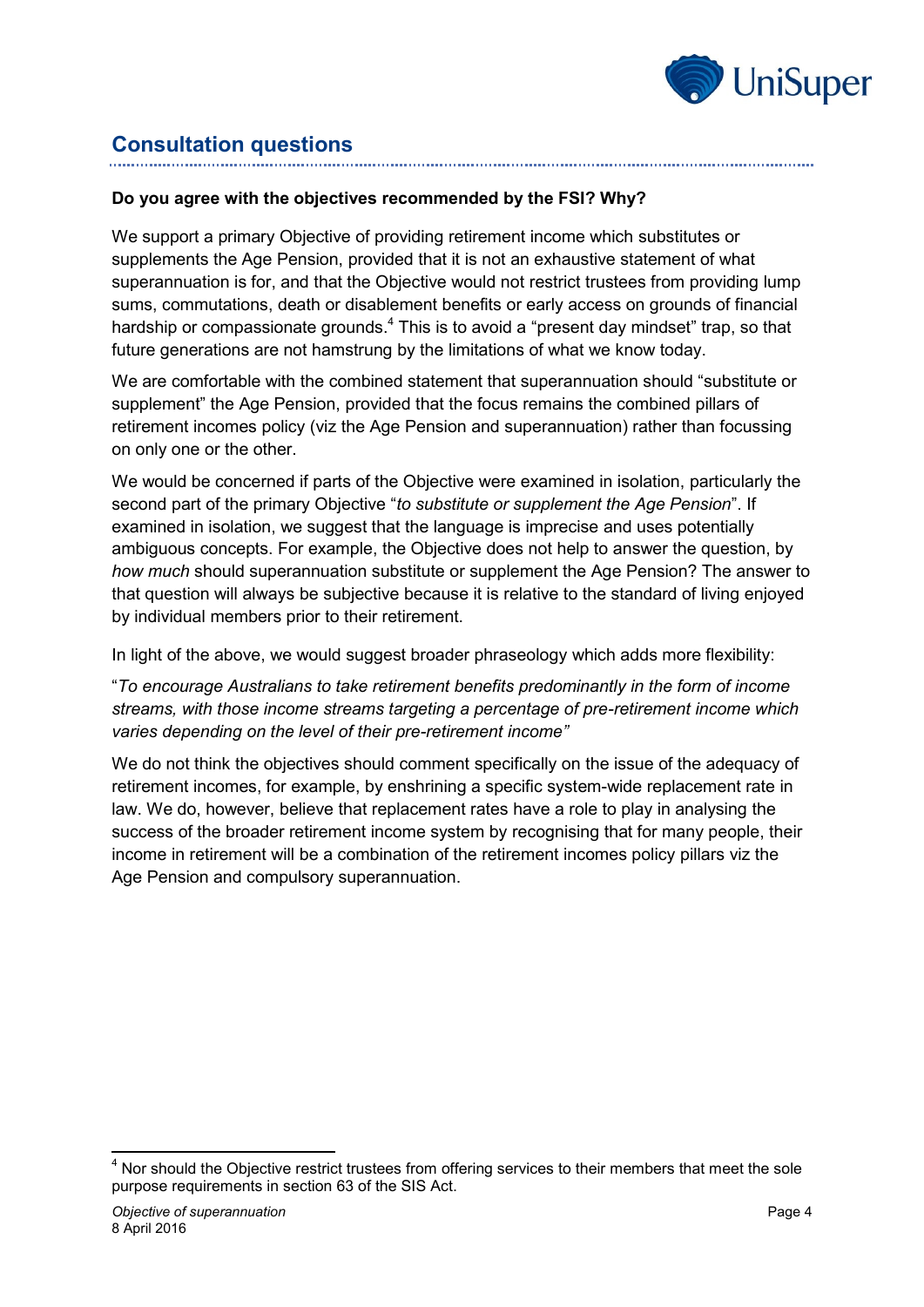

## **Consultation questions**

#### **Do you agree with the objectives recommended by the FSI? Why?**

We support a primary Objective of providing retirement income which substitutes or supplements the Age Pension, provided that it is not an exhaustive statement of what superannuation is for, and that the Objective would not restrict trustees from providing lump sums, commutations, death or disablement benefits or early access on grounds of financial hardship or compassionate grounds.<sup>4</sup> This is to avoid a "present day mindset" trap, so that future generations are not hamstrung by the limitations of what we know today.

We are comfortable with the combined statement that superannuation should "substitute or supplement" the Age Pension, provided that the focus remains the combined pillars of retirement incomes policy (viz the Age Pension and superannuation) rather than focussing on only one or the other.

We would be concerned if parts of the Objective were examined in isolation, particularly the second part of the primary Objective "*to substitute or supplement the Age Pension*". If examined in isolation, we suggest that the language is imprecise and uses potentially ambiguous concepts. For example, the Objective does not help to answer the question, by *how much* should superannuation substitute or supplement the Age Pension? The answer to that question will always be subjective because it is relative to the standard of living enjoyed by individual members prior to their retirement.

In light of the above, we would suggest broader phraseology which adds more flexibility:

"*To encourage Australians to take retirement benefits predominantly in the form of income streams, with those income streams targeting a percentage of pre-retirement income which varies depending on the level of their pre-retirement income"*

We do not think the objectives should comment specifically on the issue of the adequacy of retirement incomes, for example, by enshrining a specific system-wide replacement rate in law. We do, however, believe that replacement rates have a role to play in analysing the success of the broader retirement income system by recognising that for many people, their income in retirement will be a combination of the retirement incomes policy pillars viz the Age Pension and compulsory superannuation.

<sup>-</sup> $4$  Nor should the Objective restrict trustees from offering services to their members that meet the sole purpose requirements in section 63 of the SIS Act.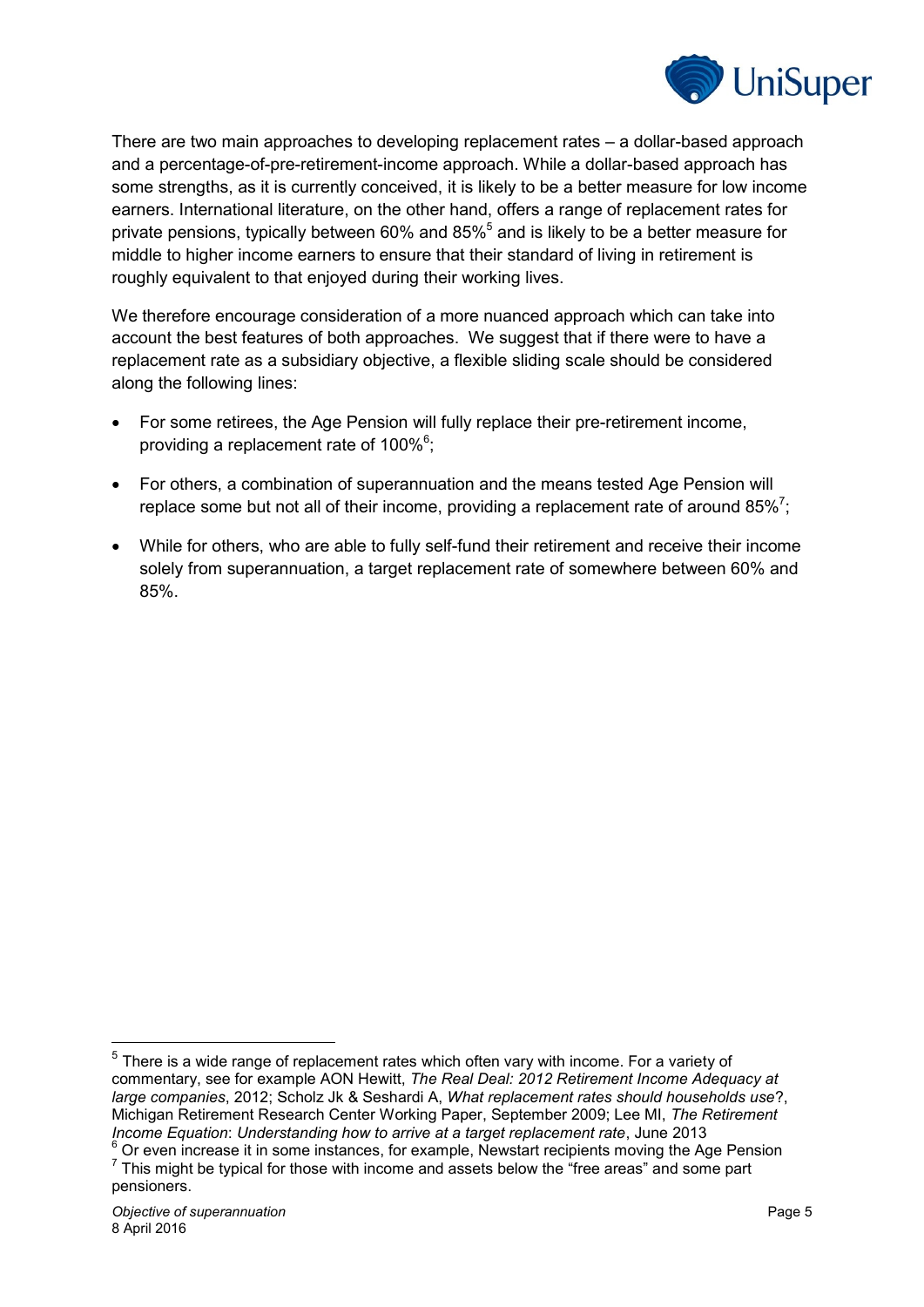

There are two main approaches to developing replacement rates – a dollar-based approach and a percentage-of-pre-retirement-income approach. While a dollar-based approach has some strengths, as it is currently conceived, it is likely to be a better measure for low income earners. International literature, on the other hand, offers a range of replacement rates for private pensions, typically between 60% and 85%<sup>5</sup> and is likely to be a better measure for middle to higher income earners to ensure that their standard of living in retirement is roughly equivalent to that enjoyed during their working lives.

We therefore encourage consideration of a more nuanced approach which can take into account the best features of both approaches. We suggest that if there were to have a replacement rate as a subsidiary objective, a flexible sliding scale should be considered along the following lines:

- For some retirees, the Age Pension will fully replace their pre-retirement income, providing a replacement rate of  $100\%$ <sup>6</sup>;
- For others, a combination of superannuation and the means tested Age Pension will replace some but not all of their income, providing a replacement rate of around 85%<sup>7</sup>;
- While for others, who are able to fully self-fund their retirement and receive their income solely from superannuation, a target replacement rate of somewhere between 60% and 85%.

-

 $5$  There is a wide range of replacement rates which often vary with income. For a variety of commentary, see for example AON Hewitt, *The Real Deal: 2012 Retirement Income Adequacy at large companies*, 2012; Scholz Jk & Seshardi A, *What replacement rates should households use*?, Michigan Retirement Research Center Working Paper, September 2009; Lee MI, *The Retirement Income Equation*: *Understanding how to arrive at a target replacement rate*, June 2013

<sup>&</sup>lt;sup>6</sup> Or even increase it in some instances, for example, Newstart recipients moving the Age Pension  $7$  This might be typical for those with income and assets below the "free areas" and some part pensioners.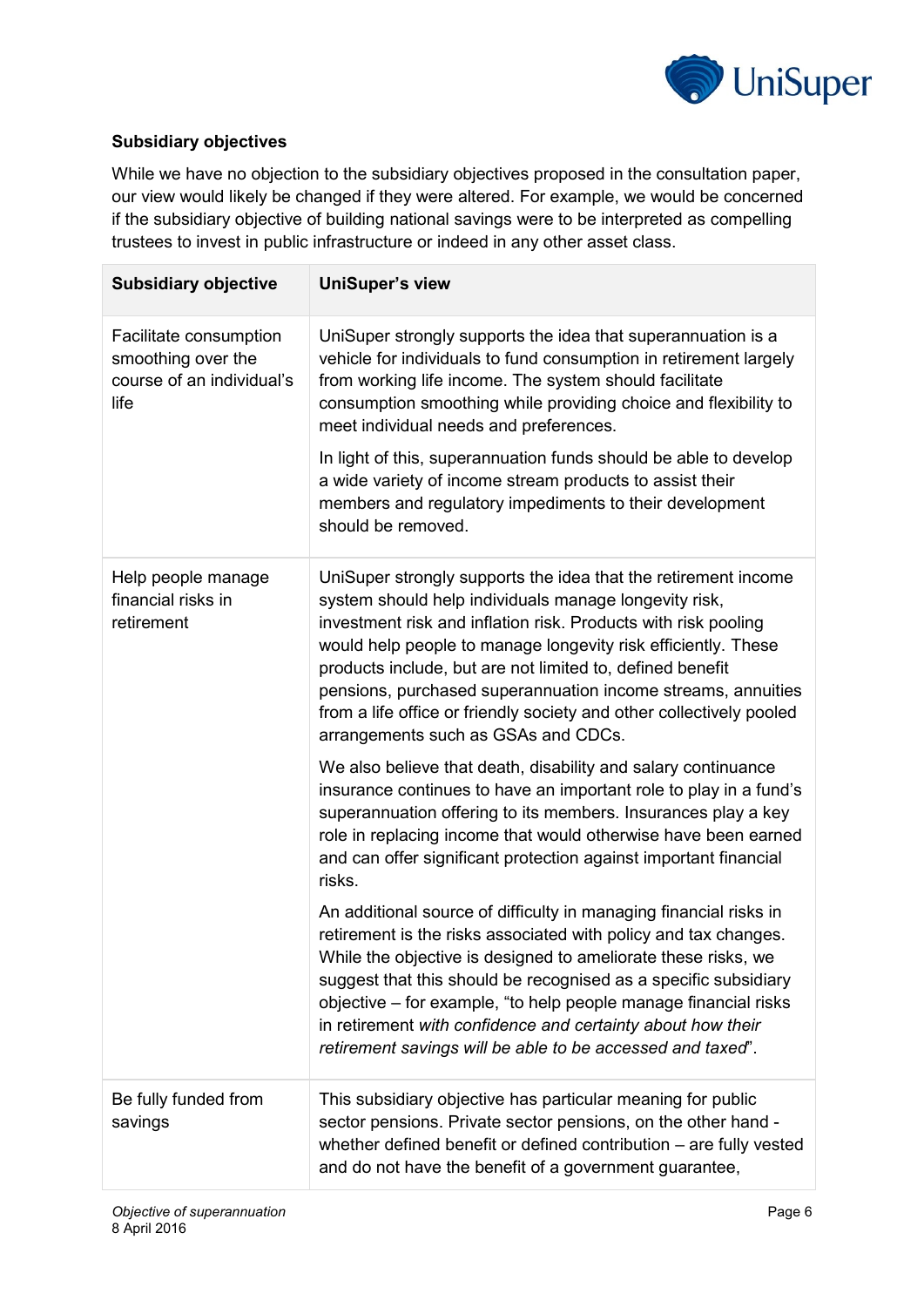

### **Subsidiary objectives**

While we have no objection to the subsidiary objectives proposed in the consultation paper, our view would likely be changed if they were altered. For example, we would be concerned if the subsidiary objective of building national savings were to be interpreted as compelling trustees to invest in public infrastructure or indeed in any other asset class.

| <b>Subsidiary objective</b>                                                       | <b>UniSuper's view</b>                                                                                                                                                                                                                                                                                                                                                                                                                                                                                                    |
|-----------------------------------------------------------------------------------|---------------------------------------------------------------------------------------------------------------------------------------------------------------------------------------------------------------------------------------------------------------------------------------------------------------------------------------------------------------------------------------------------------------------------------------------------------------------------------------------------------------------------|
| Facilitate consumption<br>smoothing over the<br>course of an individual's<br>life | UniSuper strongly supports the idea that superannuation is a<br>vehicle for individuals to fund consumption in retirement largely<br>from working life income. The system should facilitate<br>consumption smoothing while providing choice and flexibility to<br>meet individual needs and preferences.<br>In light of this, superannuation funds should be able to develop<br>a wide variety of income stream products to assist their<br>members and regulatory impediments to their development<br>should be removed. |
| Help people manage<br>financial risks in<br>retirement                            | UniSuper strongly supports the idea that the retirement income<br>system should help individuals manage longevity risk,<br>investment risk and inflation risk. Products with risk pooling<br>would help people to manage longevity risk efficiently. These<br>products include, but are not limited to, defined benefit<br>pensions, purchased superannuation income streams, annuities<br>from a life office or friendly society and other collectively pooled<br>arrangements such as GSAs and CDCs.                    |
|                                                                                   | We also believe that death, disability and salary continuance<br>insurance continues to have an important role to play in a fund's<br>superannuation offering to its members. Insurances play a key<br>role in replacing income that would otherwise have been earned<br>and can offer significant protection against important financial<br>risks.                                                                                                                                                                       |
|                                                                                   | An additional source of difficulty in managing financial risks in<br>retirement is the risks associated with policy and tax changes.<br>While the objective is designed to ameliorate these risks, we<br>suggest that this should be recognised as a specific subsidiary<br>objective – for example, "to help people manage financial risks<br>in retirement with confidence and certainty about how their<br>retirement savings will be able to be accessed and taxed".                                                  |
| Be fully funded from<br>savings                                                   | This subsidiary objective has particular meaning for public<br>sector pensions. Private sector pensions, on the other hand -<br>whether defined benefit or defined contribution – are fully vested<br>and do not have the benefit of a government guarantee,                                                                                                                                                                                                                                                              |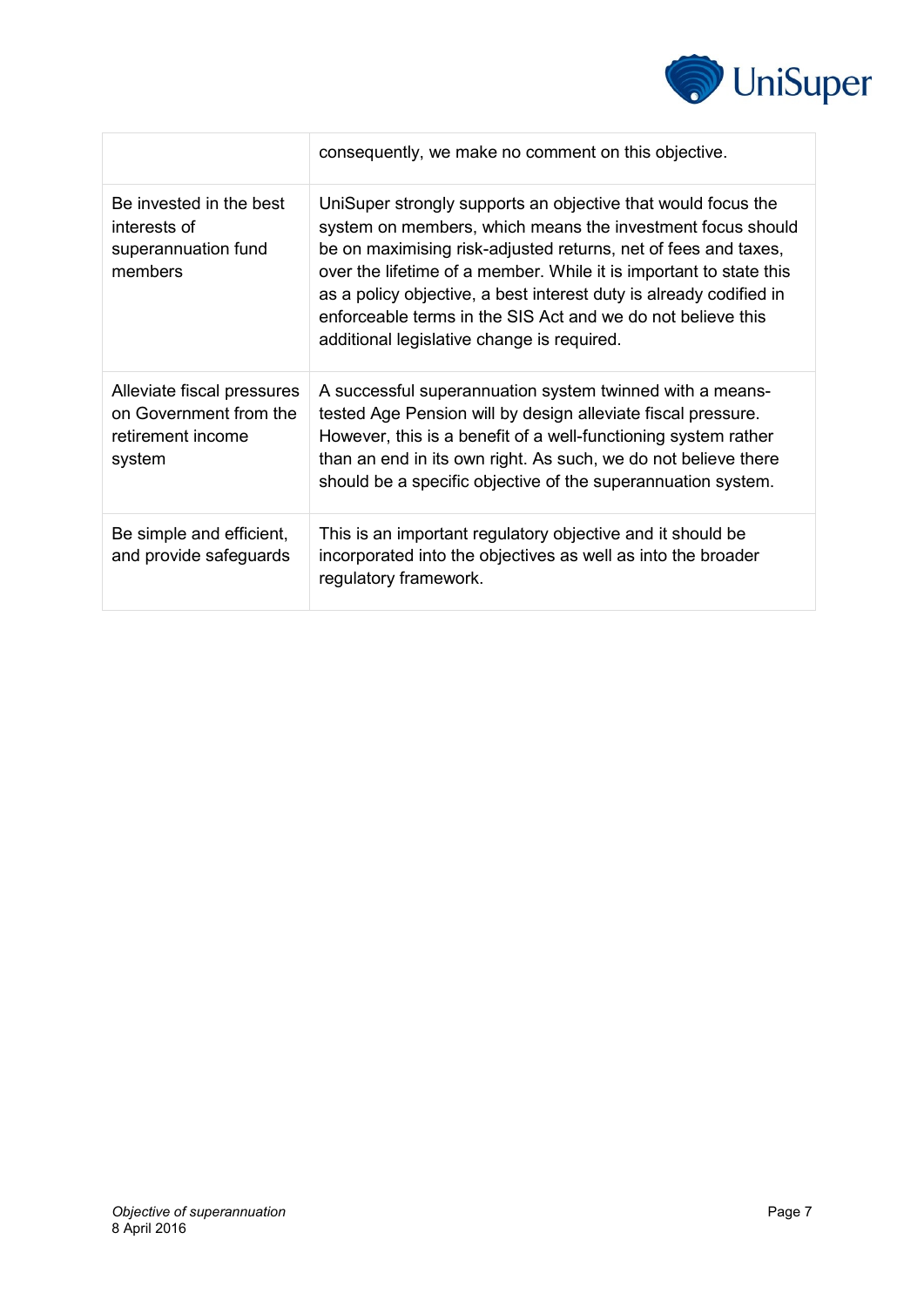

|                                                                                     | consequently, we make no comment on this objective.                                                                                                                                                                                                                                                                                                                                                                                                   |
|-------------------------------------------------------------------------------------|-------------------------------------------------------------------------------------------------------------------------------------------------------------------------------------------------------------------------------------------------------------------------------------------------------------------------------------------------------------------------------------------------------------------------------------------------------|
| Be invested in the best<br>interests of<br>superannuation fund<br>members           | UniSuper strongly supports an objective that would focus the<br>system on members, which means the investment focus should<br>be on maximising risk-adjusted returns, net of fees and taxes,<br>over the lifetime of a member. While it is important to state this<br>as a policy objective, a best interest duty is already codified in<br>enforceable terms in the SIS Act and we do not believe this<br>additional legislative change is required. |
| Alleviate fiscal pressures<br>on Government from the<br>retirement income<br>system | A successful superannuation system twinned with a means-<br>tested Age Pension will by design alleviate fiscal pressure.<br>However, this is a benefit of a well-functioning system rather<br>than an end in its own right. As such, we do not believe there<br>should be a specific objective of the superannuation system.                                                                                                                          |
| Be simple and efficient,<br>and provide safeguards                                  | This is an important regulatory objective and it should be<br>incorporated into the objectives as well as into the broader<br>regulatory framework.                                                                                                                                                                                                                                                                                                   |